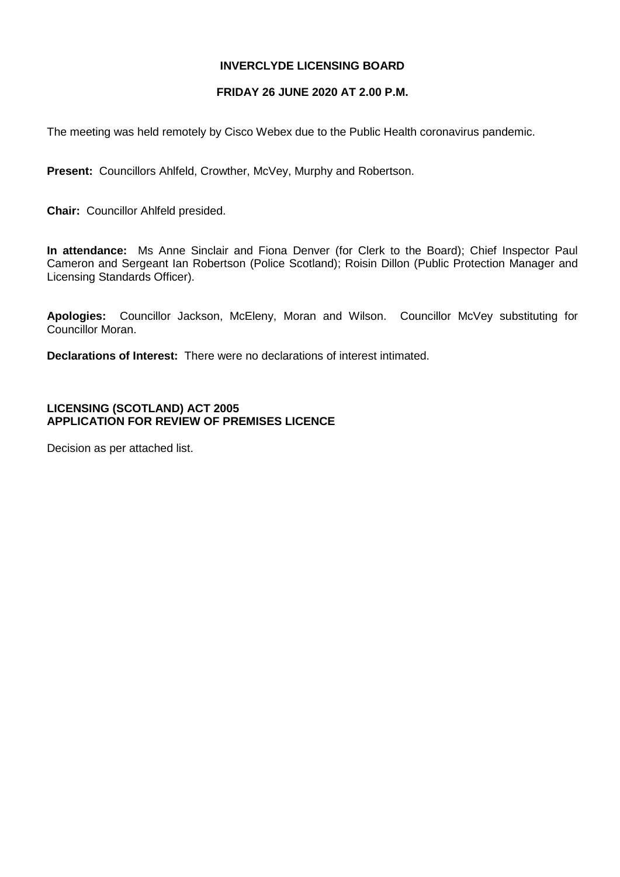## **INVERCLYDE LICENSING BOARD**

#### **FRIDAY 26 JUNE 2020 AT 2.00 P.M.**

The meeting was held remotely by Cisco Webex due to the Public Health coronavirus pandemic.

**Present:** Councillors Ahlfeld, Crowther, McVey, Murphy and Robertson.

**Chair:** Councillor Ahlfeld presided.

**In attendance:** Ms Anne Sinclair and Fiona Denver (for Clerk to the Board); Chief Inspector Paul Cameron and Sergeant Ian Robertson (Police Scotland); Roisin Dillon (Public Protection Manager and Licensing Standards Officer).

**Apologies:** Councillor Jackson, McEleny, Moran and Wilson. Councillor McVey substituting for Councillor Moran.

**Declarations of Interest:** There were no declarations of interest intimated.

# **LICENSING (SCOTLAND) ACT 2005 APPLICATION FOR REVIEW OF PREMISES LICENCE**

Decision as per attached list.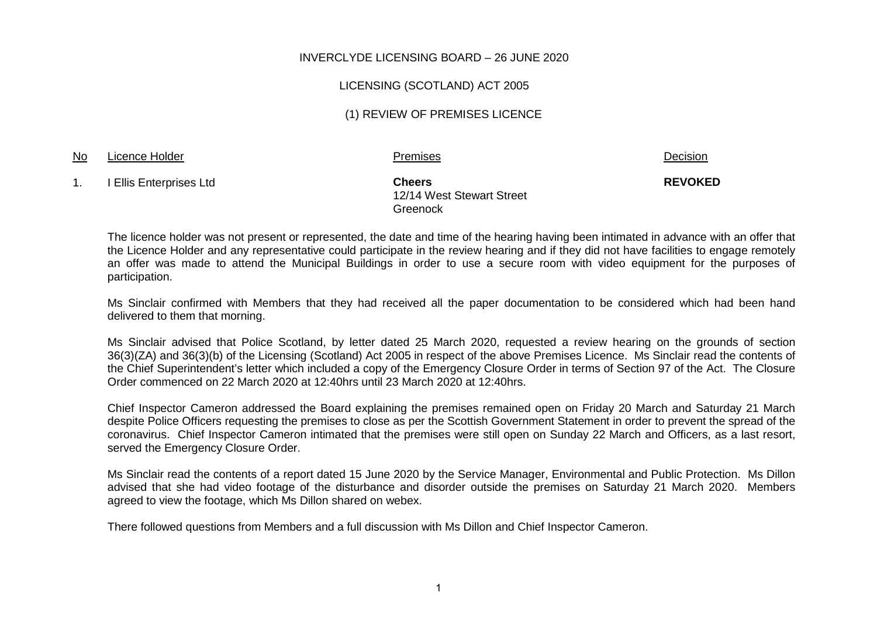### INVERCLYDE LICENSING BOARD – 26 JUNE 2020

#### LICENSING (SCOTLAND) ACT 2005

### (1) REVIEW OF PREMISES LICENCE

#### No Licence Holder **Premises** Premises **Premises** 2008 **Decision**

**REVOKED**

1. I Ellis Enterprises Ltd **Cheers**

12/14 West Stewart Street Greenock

The licence holder was not present or represented, the date and time of the hearing having been intimated in advance with an offer that the Licence Holder and any representative could participate in the review hearing and if they did not have facilities to engage remotely an offer was made to attend the Municipal Buildings in order to use a secure room with video equipment for the purposes of participation.

Ms Sinclair confirmed with Members that they had received all the paper documentation to be considered which had been hand delivered to them that morning.

Ms Sinclair advised that Police Scotland, by letter dated 25 March 2020, requested a review hearing on the grounds of section 36(3)(ZA) and 36(3)(b) of the Licensing (Scotland) Act 2005 in respect of the above Premises Licence. Ms Sinclair read the contents of the Chief Superintendent's letter which included a copy of the Emergency Closure Order in terms of Section 97 of the Act. The Closure Order commenced on 22 March 2020 at 12:40hrs until 23 March 2020 at 12:40hrs.

Chief Inspector Cameron addressed the Board explaining the premises remained open on Friday 20 March and Saturday 21 March despite Police Officers requesting the premises to close as per the Scottish Government Statement in order to prevent the spread of the coronavirus. Chief Inspector Cameron intimated that the premises were still open on Sunday 22 March and Officers, as a last resort, served the Emergency Closure Order.

Ms Sinclair read the contents of a report dated 15 June 2020 by the Service Manager, Environmental and Public Protection. Ms Dillon advised that she had video footage of the disturbance and disorder outside the premises on Saturday 21 March 2020. Members agreed to view the footage, which Ms Dillon shared on webex.

There followed questions from Members and a full discussion with Ms Dillon and Chief Inspector Cameron.